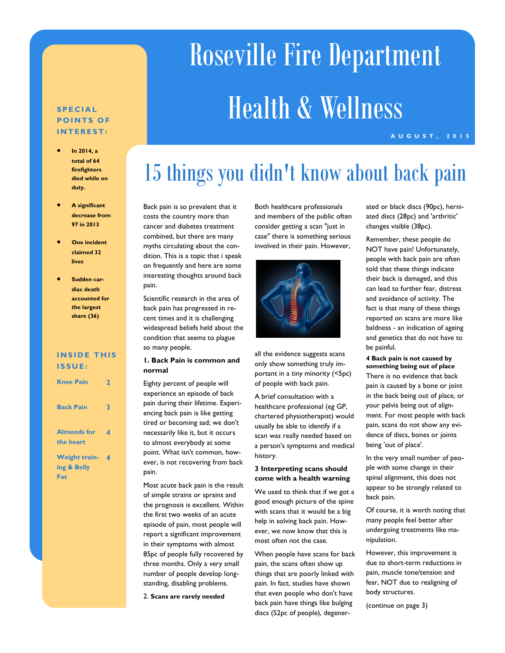# Roseville Fire Department Health & Wellness

#### **A U G U S T , 2 0 1 5**

#### **S P E C I A L POINTS OF I N T E R E S T :**

- **In 2014, a total of 64 firefighters died while on duty.**
- **A significant decrease from 97 in 2013**
- **One incident claimed 32 lives**
- **Sudden cardiac death accounted for the largest share (36)**

#### **INSIDE THIS I S S U E :**

| <b>Knee Pain</b>                           | 2 |
|--------------------------------------------|---|
| <b>Back Pain</b>                           | 3 |
| <b>Almonds for</b><br>the heart            | 4 |
| <b>Weight train-</b><br>ing & Belly<br>Fat | 4 |

# 15 things you didn't know about back pain

Back pain is so prevalent that it costs the country more than cancer and diabetes treatment combined, but there are many myths circulating about the condition. This is a topic that i speak on frequently and here are some interesting thoughts around back pain.

Scientific research in the area of back pain has progressed in recent times and it is challenging widespread beliefs held about the condition that seems to plague so many people.

#### **1. Back Pain is common and normal**

Eighty percent of people will experience an episode of back pain during their lifetime. Experiencing back pain is like getting tired or becoming sad; we don't necessarily like it, but it occurs to almost everybody at some point. What isn't common, however, is not recovering from back pain.

Most acute back pain is the result of simple strains or sprains and the prognosis is excellent. Within the first two weeks of an acute episode of pain, most people will report a significant improvement in their symptoms with almost 85pc of people fully recovered by three months. Only a very small number of people develop longstanding, disabling problems.

2. **Scans are rarely needed**

Both healthcare professionals and members of the public often consider getting a scan "just in case" there is something serious involved in their pain. However,



all the evidence suggests scans only show something truly important in a tiny minority (<5pc) of people with back pain.

A brief consultation with a healthcare professional (eg GP, chartered physiotherapist) would usually be able to identify if a scan was really needed based on a person's symptoms and medical history.

#### **3 Interpreting scans should come with a health warning**

We used to think that if we got a good enough picture of the spine with scans that it would be a big help in solving back pain. However, we now know that this is most often not the case.

When people have scans for back pain, the scans often show up things that are poorly linked with pain. In fact, studies have shown that even people who don't have back pain have things like bulging discs (52pc of people), degenerated or black discs (90pc), herniated discs (28pc) and 'arthritic' changes visible (38pc).

Remember, these people do NOT have pain! Unfortunately, people with back pain are often told that these things indicate their back is damaged, and this can lead to further fear, distress and avoidance of activity. The fact is that many of these things reported on scans are more like baldness - an indication of ageing and genetics that do not have to be painful.

#### **4 Back pain is not caused by something being out of place**

There is no evidence that back pain is caused by a bone or joint in the back being out of place, or your pelvis being out of alignment. For most people with back pain, scans do not show any evidence of discs, bones or joints being 'out of place'.

In the very small number of people with some change in their spinal alignment, this does not appear to be strongly related to back pain.

Of course, it is worth noting that many people feel better after undergoing treatments like manipulation.

However, this improvement is due to short-term reductions in pain, muscle tone/tension and fear, NOT due to realigning of body structures.

(continue on page 3)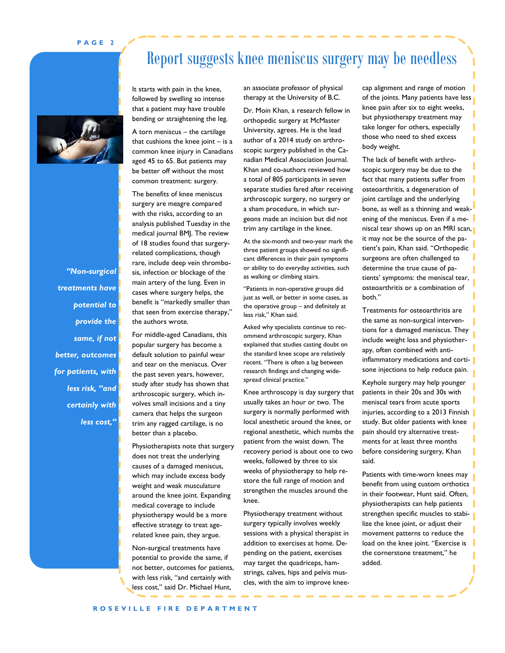#### **P A G E 2**



*"Non-surgical treatments have potential to provide the same, if not better, outcomes for patients, with less risk, "and certainly with less cost,"* 

It starts with pain in the knee, followed by swelling so intense that a patient may have trouble

A torn meniscus – the cartilage that cushions the knee joint  $-$  is a common knee injury in Canadians aged 45 to 65. But patients may be better off without the most common treatment: surgery.

bending or straightening the leg.

The benefits of knee meniscus surgery are meagre compared with the risks, according to an analysis published Tuesday in the medical journal BMJ. The review of 18 studies found that surgeryrelated complications, though rare, include deep vein thrombosis, infection or blockage of the main artery of the lung. Even in cases where surgery helps, the benefit is "markedly smaller than that seen from exercise therapy," the authors wrote.

For middle-aged Canadians, this popular surgery has become a default solution to painful wear and tear on the meniscus. Over the past seven years, however, study after study has shown that arthroscopic surgery, which involves small incisions and a tiny camera that helps the surgeon trim any ragged cartilage, is no better than a placebo.

Physiotherapists note that surgery does not treat the underlying causes of a damaged meniscus, which may include excess body weight and weak musculature around the knee joint. Expanding medical coverage to include physiotherapy would be a more effective strategy to treat agerelated knee pain, they argue.

Non-surgical treatments have potential to provide the same, if not better, outcomes for patients, with less risk, "and certainly with less cost," said Dr. Michael Hunt,

an associate professor of physical therapy at the University of B.C.

Report suggests knee meniscus surgery may be needless

Dr. Moin Khan, a research fellow in orthopedic surgery at McMaster University, agrees. He is the lead author of a 2014 study on arthroscopic surgery published in the Canadian Medical Association Journal. Khan and co-authors reviewed how a total of 805 participants in seven separate studies fared after receiving arthroscopic surgery, no surgery or a sham procedure, in which surgeons made an incision but did not trim any cartilage in the knee.

At the six-month and two-year mark the three patient groups showed no significant differences in their pain symptoms or ability to do everyday activities, such as walking or climbing stairs.

"Patients in non-operative groups did just as well, or better in some cases, as the operative group – and definitely at less risk," Khan said.

Asked why specialists continue to recommend arthroscopic surgery, Khan explained that studies casting doubt on the standard knee scope are relatively recent. "There is often a lag between research findings and changing widespread clinical practice."

Knee arthroscopy is day surgery that usually takes an hour or two. The surgery is normally performed with local anesthetic around the knee, or regional anesthetic, which numbs the patient from the waist down. The recovery period is about one to two weeks, followed by three to six weeks of physiotherapy to help restore the full range of motion and strengthen the muscles around the knee.

Physiotherapy treatment without surgery typically involves weekly sessions with a physical therapist in addition to exercises at home. Depending on the patient, exercises may target the quadriceps, hamstrings, calves, hips and pelvis muscles, with the aim to improve kneecap alignment and range of motion of the joints. Many patients have less knee pain after six to eight weeks, but physiotherapy treatment may take longer for others, especially those who need to shed excess body weight.

The lack of benefit with arthroscopic surgery may be due to the fact that many patients suffer from osteoarthritis, a degeneration of joint cartilage and the underlying bone, as well as a thinning and weakening of the meniscus. Even if a meniscal tear shows up on an MRI scan, it may not be the source of the patient's pain, Khan said. "Orthopedic surgeons are often challenged to determine the true cause of patients' symptoms: the meniscal tear, osteoarthritis or a combination of both."

Treatments for osteoarthritis are the same as non-surgical interventions for a damaged meniscus. They include weight loss and physiotherapy, often combined with antiinflammatory medications and cortisone injections to help reduce pain.

Keyhole surgery may help younger patients in their 20s and 30s with meniscal tears from acute sports injuries, according to a 2013 Finnish study. But older patients with knee pain should try alternative treatments for at least three months before considering surgery, Khan said.

Patients with time-worn knees may benefit from using custom orthotics in their footwear, Hunt said. Often, physiotherapists can help patients strengthen specific muscles to stabilize the knee joint, or adjust their movement patterns to reduce the load on the knee joint. "Exercise is the cornerstone treatment," he added.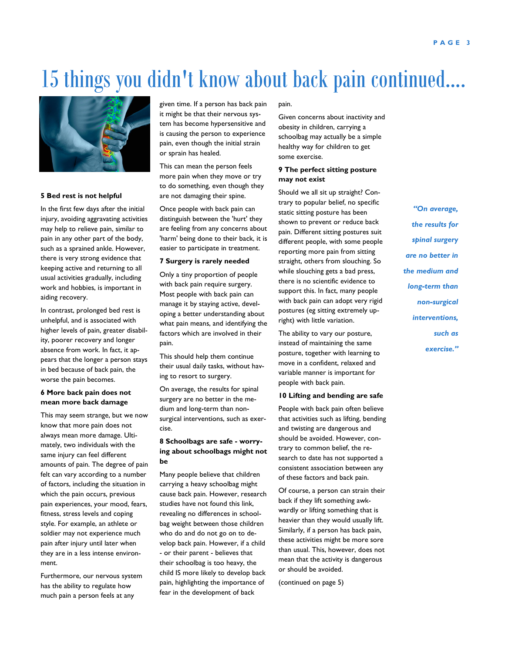## 15 things you didn't know about back pain continued….



#### **5 Bed rest is not helpful**

In the first few days after the initial injury, avoiding aggravating activities may help to relieve pain, similar to pain in any other part of the body, such as a sprained ankle. However, there is very strong evidence that keeping active and returning to all usual activities gradually, including work and hobbies, is important in aiding recovery.

In contrast, prolonged bed rest is unhelpful, and is associated with higher levels of pain, greater disability, poorer recovery and longer absence from work. In fact, it appears that the longer a person stays in bed because of back pain, the worse the pain becomes.

#### **6 More back pain does not mean more back damage**

This may seem strange, but we now know that more pain does not always mean more damage. Ultimately, two individuals with the same injury can feel different amounts of pain. The degree of pain felt can vary according to a number of factors, including the situation in which the pain occurs, previous pain experiences, your mood, fears, fitness, stress levels and coping style. For example, an athlete or soldier may not experience much pain after injury until later when they are in a less intense environment.

Furthermore, our nervous system has the ability to regulate how much pain a person feels at any

given time. If a person has back pain it might be that their nervous system has become hypersensitive and is causing the person to experience pain, even though the initial strain or sprain has healed.

This can mean the person feels more pain when they move or try to do something, even though they are not damaging their spine.

Once people with back pain can distinguish between the 'hurt' they are feeling from any concerns about 'harm' being done to their back, it is easier to participate in treatment.

#### **7 Surgery is rarely needed**

Only a tiny proportion of people with back pain require surgery. Most people with back pain can manage it by staying active, developing a better understanding about what pain means, and identifying the factors which are involved in their pain.

This should help them continue their usual daily tasks, without having to resort to surgery.

On average, the results for spinal surgery are no better in the medium and long-term than nonsurgical interventions, such as exercise.

#### **8 Schoolbags are safe - worrying about schoolbags might not be**

Many people believe that children carrying a heavy schoolbag might cause back pain. However, research studies have not found this link, revealing no differences in schoolbag weight between those children who do and do not go on to develop back pain. However, if a child - or their parent - believes that their schoolbag is too heavy, the child IS more likely to develop back pain, highlighting the importance of fear in the development of back

#### pain.

Given concerns about inactivity and obesity in children, carrying a schoolbag may actually be a simple healthy way for children to get some exercise.

#### **9 The perfect sitting posture may not exist**

Should we all sit up straight? Contrary to popular belief, no specific static sitting posture has been shown to prevent or reduce back pain. Different sitting postures suit different people, with some people reporting more pain from sitting straight, others from slouching. So while slouching gets a bad press, there is no scientific evidence to support this. In fact, many people with back pain can adopt very rigid postures (eg sitting extremely upright) with little variation.

The ability to vary our posture, instead of maintaining the same posture, together with learning to move in a confident, relaxed and variable manner is important for people with back pain.

#### **10 Lifting and bending are safe**

People with back pain often believe that activities such as lifting, bending and twisting are dangerous and should be avoided. However, contrary to common belief, the research to date has not supported a consistent association between any of these factors and back pain.

Of course, a person can strain their back if they lift something awkwardly or lifting something that is heavier than they would usually lift. Similarly, if a person has back pain, these activities might be more sore than usual. This, however, does not mean that the activity is dangerous or should be avoided.

(continued on page 5)

*"On average, the results for spinal surgery are no better in the medium and long-term than non-surgical interventions, such as exercise."*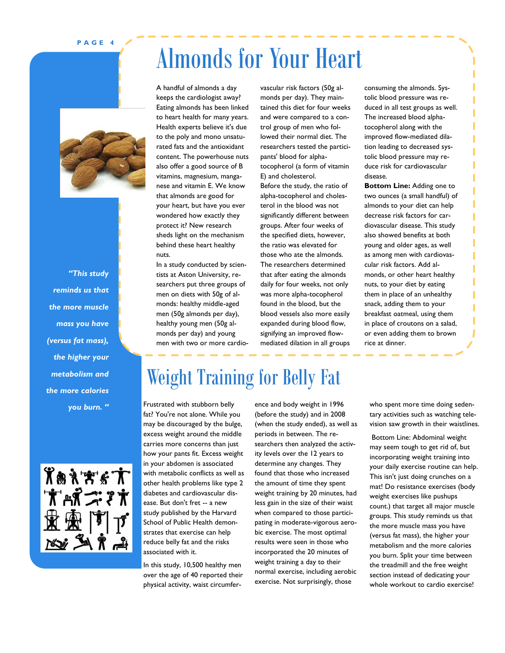#### **P A G E 4**



*"This study reminds us that the more muscle mass you have (versus fat mass), the higher your metabolism and the more calories you burn. "*



# Almonds for Your Heart

A handful of almonds a day keeps the cardiologist away? Eating almonds has been linked to heart health for many years. Health experts believe it's due to the poly and mono unsaturated fats and the antioxidant content. The powerhouse nuts also offer a good source of B vitamins, magnesium, manganese and vitamin E. We know that almonds are good for your heart, but have you ever wondered how exactly they protect it? New research sheds light on the mechanism behind these heart healthy nuts.

In a study conducted by scientists at Aston University, researchers put three groups of men on diets with 50g of almonds: healthy middle-aged men (50g almonds per day), healthy young men (50g almonds per day) and young men with two or more cardiovascular risk factors (50g almonds per day). They maintained this diet for four weeks and were compared to a control group of men who followed their normal diet. The researchers tested the participants' blood for alphatocopherol (a form of vitamin E) and cholesterol.

Before the study, the ratio of alpha-tocopherol and cholesterol in the blood was not significantly different between groups. After four weeks of the specified diets, however, the ratio was elevated for those who ate the almonds. The researchers determined that after eating the almonds daily for four weeks, not only was more alpha-tocopherol found in the blood, but the blood vessels also more easily expanded during blood flow, signifying an improved flowmediated dilation in all groups consuming the almonds. Systolic blood pressure was reduced in all test groups as well. The increased blood alphatocopherol along with the improved flow-mediated dilation leading to decreased systolic blood pressure may reduce risk for cardiovascular disease.

**Bottom Line:** Adding one to two ounces (a small handful) of almonds to your diet can help decrease risk factors for cardiovascular disease. This study also showed benefits at both young and older ages, as well as among men with cardiovascular risk factors. Add almonds, or other heart healthy nuts, to your diet by eating them in place of an unhealthy snack, adding them to your breakfast oatmeal, using them in place of croutons on a salad, or even adding them to brown rice at dinner.

### Weight Training for Belly Fat

Frustrated with stubborn belly fat? You're not alone. While you may be discouraged by the bulge, excess weight around the middle carries more concerns than just how your pants fit. Excess weight in your abdomen is associated with metabolic conflicts as well as other health problems like type 2 diabetes and cardiovascular disease. But don't fret -- a new study published by the Harvard School of Public Health demonstrates that exercise can help reduce belly fat and the risks associated with it.

In this study, 10,500 healthy men over the age of 40 reported their physical activity, waist circumference and body weight in 1996 (before the study) and in 2008 (when the study ended), as well as periods in between. The researchers then analyzed the activity levels over the 12 years to determine any changes. They found that those who increased the amount of time they spent weight training by 20 minutes, had less gain in the size of their waist when compared to those participating in moderate-vigorous aerobic exercise. The most optimal results were seen in those who incorporated the 20 minutes of weight training a day to their normal exercise, including aerobic exercise. Not surprisingly, those

who spent more time doing sedentary activities such as watching television saw growth in their waistlines.

Bottom Line: Abdominal weight may seem tough to get rid of, but incorporating weight training into your daily exercise routine can help. This isn't just doing crunches on a mat! Do resistance exercises (body weight exercises like pushups count.) that target all major muscle groups. This study reminds us that the more muscle mass you have (versus fat mass), the higher your metabolism and the more calories you burn. Split your time between the treadmill and the free weight section instead of dedicating your whole workout to cardio exercise!